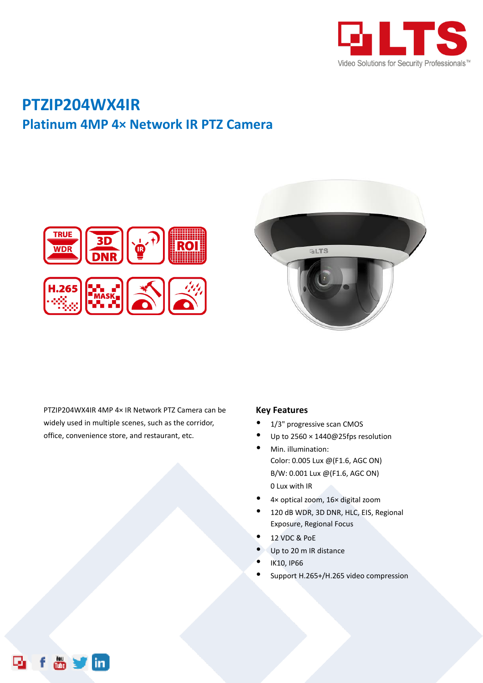

## **PTZIP204WX4IR Platinum 4MP 4× Network IR PTZ Camera**





PTZIP204WX4IR 4MP 4× IR Network PTZ Camera can be widely used in multiple scenes, such as the corridor, office, convenience store, and restaurant, etc.

 $\ddot{\bullet}$ 

## **Key Features**

- 1/3" progressive scan CMOS
- Up to 2560 × 1440@25fps resolution
- Min. illumination: Color: 0.005 Lux @(F1.6, AGC ON) B/W: 0.001 Lux @(F1.6, AGC ON) 0 Lux with IR
- 4× optical zoom, 16× digital zoom
- 120 dB WDR, 3D DNR, HLC, EIS, Regional Exposure, Regional Focus
- 12 VDC & PoE
- Up to 20 m IR distance
- IK10, IP66
- Support H.265+/H.265 video compression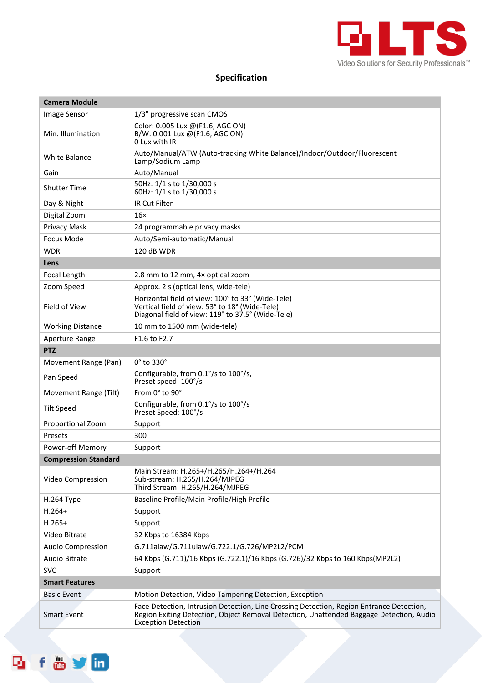

## **Specification**

| <b>Camera Module</b>        |                                                                                                                                                                                                                   |  |
|-----------------------------|-------------------------------------------------------------------------------------------------------------------------------------------------------------------------------------------------------------------|--|
| Image Sensor                | 1/3" progressive scan CMOS                                                                                                                                                                                        |  |
| Min. Illumination           | Color: 0.005 Lux @(F1.6, AGC ON)<br>B/W: 0.001 Lux @(F1.6, AGC ON)<br>0 Lux with IR                                                                                                                               |  |
| <b>White Balance</b>        | Auto/Manual/ATW (Auto-tracking White Balance)/Indoor/Outdoor/Fluorescent<br>Lamp/Sodium Lamp                                                                                                                      |  |
| Gain                        | Auto/Manual                                                                                                                                                                                                       |  |
| <b>Shutter Time</b>         | 50Hz: 1/1 s to 1/30,000 s<br>60Hz: 1/1 s to 1/30,000 s                                                                                                                                                            |  |
| Day & Night                 | IR Cut Filter                                                                                                                                                                                                     |  |
| Digital Zoom                | $16\times$                                                                                                                                                                                                        |  |
| Privacy Mask                | 24 programmable privacy masks                                                                                                                                                                                     |  |
| <b>Focus Mode</b>           | Auto/Semi-automatic/Manual                                                                                                                                                                                        |  |
| <b>WDR</b>                  | 120 dB WDR                                                                                                                                                                                                        |  |
| Lens                        |                                                                                                                                                                                                                   |  |
| Focal Length                | 2.8 mm to 12 mm, 4x optical zoom                                                                                                                                                                                  |  |
| Zoom Speed                  | Approx. 2 s (optical lens, wide-tele)                                                                                                                                                                             |  |
| Field of View               | Horizontal field of view: 100° to 33° (Wide-Tele)<br>Vertical field of view: 53° to 18° (Wide-Tele)<br>Diagonal field of view: 119° to 37.5° (Wide-Tele)                                                          |  |
| <b>Working Distance</b>     | 10 mm to 1500 mm (wide-tele)                                                                                                                                                                                      |  |
| Aperture Range              | F1.6 to F2.7                                                                                                                                                                                                      |  |
| <b>PTZ</b>                  |                                                                                                                                                                                                                   |  |
| Movement Range (Pan)        | $0^\circ$ to 330 $^\circ$                                                                                                                                                                                         |  |
| Pan Speed                   | Configurable, from 0.1°/s to 100°/s,<br>Preset speed: 100°/s                                                                                                                                                      |  |
| Movement Range (Tilt)       | From 0° to 90°                                                                                                                                                                                                    |  |
| <b>Tilt Speed</b>           | Configurable, from 0.1°/s to 100°/s<br>Preset Speed: 100°/s                                                                                                                                                       |  |
| Proportional Zoom           | Support                                                                                                                                                                                                           |  |
| Presets                     | 300                                                                                                                                                                                                               |  |
| Power-off Memory            | Support                                                                                                                                                                                                           |  |
| <b>Compression Standard</b> |                                                                                                                                                                                                                   |  |
| Video Compression           | Main Stream: H.265+/H.265/H.264+/H.264<br>Sub-stream: H.265/H.264/MJPEG<br>Third Stream: H.265/H.264/MJPEG                                                                                                        |  |
| <b>H.264 Type</b>           | Baseline Profile/Main Profile/High Profile                                                                                                                                                                        |  |
| $H.264+$                    | Support                                                                                                                                                                                                           |  |
| $H.265+$                    | Support                                                                                                                                                                                                           |  |
| Video Bitrate               | 32 Kbps to 16384 Kbps                                                                                                                                                                                             |  |
| Audio Compression           | G.711alaw/G.711ulaw/G.722.1/G.726/MP2L2/PCM                                                                                                                                                                       |  |
| Audio Bitrate               | 64 Kbps (G.711)/16 Kbps (G.722.1)/16 Kbps (G.726)/32 Kbps to 160 Kbps(MP2L2)                                                                                                                                      |  |
| <b>SVC</b>                  | Support                                                                                                                                                                                                           |  |
| <b>Smart Features</b>       |                                                                                                                                                                                                                   |  |
| <b>Basic Event</b>          | Motion Detection, Video Tampering Detection, Exception                                                                                                                                                            |  |
| <b>Smart Event</b>          | Face Detection, Intrusion Detection, Line Crossing Detection, Region Entrance Detection,<br>Region Exiting Detection, Object Removal Detection, Unattended Baggage Detection, Audio<br><b>Exception Detection</b> |  |

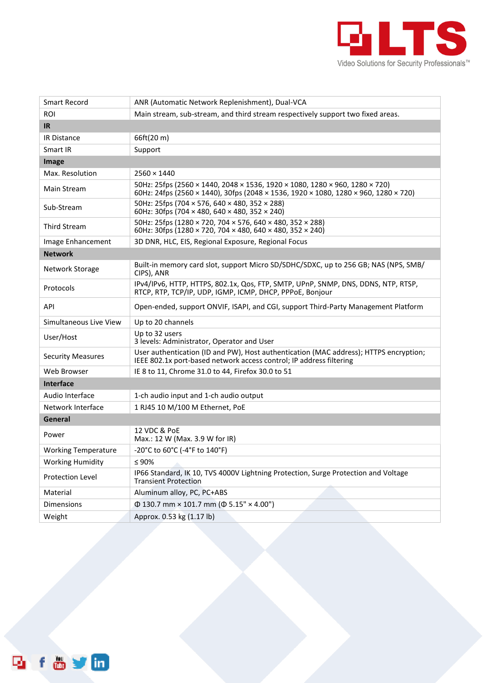

| <b>Smart Record</b>        | ANR (Automatic Network Replenishment), Dual-VCA                                                                                                                    |  |
|----------------------------|--------------------------------------------------------------------------------------------------------------------------------------------------------------------|--|
| <b>ROI</b>                 | Main stream, sub-stream, and third stream respectively support two fixed areas.                                                                                    |  |
| IR.                        |                                                                                                                                                                    |  |
| <b>IR Distance</b>         | 66ft(20 m)                                                                                                                                                         |  |
| Smart IR                   | Support                                                                                                                                                            |  |
| Image                      |                                                                                                                                                                    |  |
| Max. Resolution            | $2560 \times 1440$                                                                                                                                                 |  |
| Main Stream                | 50Hz: 25fps (2560 × 1440, 2048 × 1536, 1920 × 1080, 1280 × 960, 1280 × 720)<br>60Hz: 24fps (2560 × 1440), 30fps (2048 × 1536, 1920 × 1080, 1280 × 960, 1280 × 720) |  |
| Sub-Stream                 | 50Hz: 25fps (704 × 576, 640 × 480, 352 × 288)<br>60Hz: 30fps (704 $\times$ 480, 640 $\times$ 480, 352 $\times$ 240)                                                |  |
| <b>Third Stream</b>        | 50Hz: 25fps (1280 × 720, 704 × 576, 640 × 480, 352 × 288)<br>60Hz: 30fps (1280 × 720, 704 × 480, 640 × 480, 352 × 240)                                             |  |
| Image Enhancement          | 3D DNR, HLC, EIS, Regional Exposure, Regional Focus                                                                                                                |  |
| <b>Network</b>             |                                                                                                                                                                    |  |
| Network Storage            | Built-in memory card slot, support Micro SD/SDHC/SDXC, up to 256 GB; NAS (NPS, SMB/<br>CIPS), ANR                                                                  |  |
| Protocols                  | IPv4/IPv6, HTTP, HTTPS, 802.1x, Qos, FTP, SMTP, UPnP, SNMP, DNS, DDNS, NTP, RTSP,<br>RTCP, RTP, TCP/IP, UDP, IGMP, ICMP, DHCP, PPPoE, Bonjour                      |  |
| API                        | Open-ended, support ONVIF, ISAPI, and CGI, support Third-Party Management Platform                                                                                 |  |
| Simultaneous Live View     | Up to 20 channels                                                                                                                                                  |  |
| User/Host                  | Up to 32 users<br>3 levels: Administrator, Operator and User                                                                                                       |  |
| <b>Security Measures</b>   | User authentication (ID and PW), Host authentication (MAC address); HTTPS encryption;<br>IEEE 802.1x port-based network access control; IP address filtering       |  |
| Web Browser                | IE 8 to 11, Chrome 31.0 to 44, Firefox 30.0 to 51                                                                                                                  |  |
| <b>Interface</b>           |                                                                                                                                                                    |  |
| Audio Interface            | 1-ch audio input and 1-ch audio output                                                                                                                             |  |
| Network Interface          | 1 RJ45 10 M/100 M Ethernet, PoE                                                                                                                                    |  |
| General                    |                                                                                                                                                                    |  |
| Power                      | 12 VDC & PoE<br>Max.: 12 W (Max. 3.9 W for IR)                                                                                                                     |  |
| <b>Working Temperature</b> | -20°C to 60°C (-4°F to 140°F)                                                                                                                                      |  |
| <b>Working Humidity</b>    | $\leq 90\%$                                                                                                                                                        |  |
| Protection Level           | IP66 Standard, IK 10, TVS 4000V Lightning Protection, Surge Protection and Voltage<br><b>Transient Protection</b>                                                  |  |
| Material                   | Aluminum alloy, PC, PC+ABS                                                                                                                                         |  |
| Dimensions                 | $\Phi$ 130.7 mm × 101.7 mm ( $\Phi$ 5.15" × 4.00")                                                                                                                 |  |
| Weight                     | Approx. 0.53 kg (1.17 lb)                                                                                                                                          |  |

**f & y m** 

凾